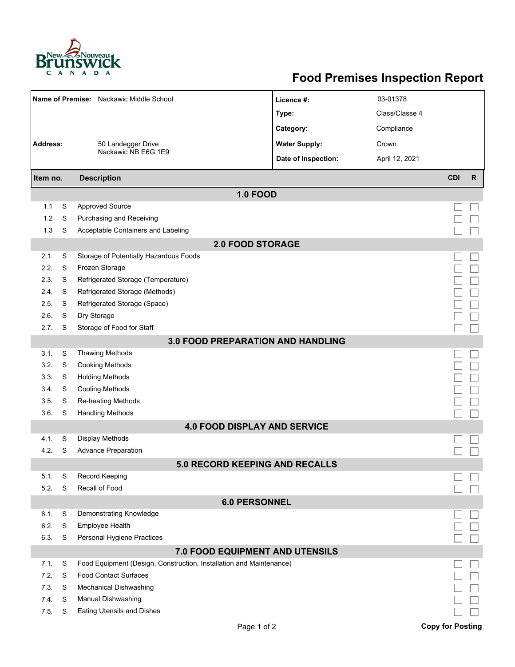

## **Food Premises Inspection Report**

| Name of Premise: Nackawic Middle School<br>Address:<br>50 Landegger Drive |   |                                                                     | Licence #:           | 03-01378       |                         |              |  |  |  |  |
|---------------------------------------------------------------------------|---|---------------------------------------------------------------------|----------------------|----------------|-------------------------|--------------|--|--|--|--|
|                                                                           |   |                                                                     | Type:                | Class/Classe 4 |                         |              |  |  |  |  |
|                                                                           |   |                                                                     | Category:            | Compliance     |                         |              |  |  |  |  |
|                                                                           |   |                                                                     | <b>Water Supply:</b> | Crown          |                         |              |  |  |  |  |
|                                                                           |   | Nackawic NB E6G 1E9                                                 | Date of Inspection:  | April 12, 2021 |                         |              |  |  |  |  |
|                                                                           |   |                                                                     |                      |                |                         |              |  |  |  |  |
| <b>Description</b><br>Item no.                                            |   |                                                                     |                      |                | <b>CDI</b>              | $\mathsf{R}$ |  |  |  |  |
|                                                                           |   | <b>1.0 FOOD</b>                                                     |                      |                |                         |              |  |  |  |  |
| 1.1                                                                       | S | <b>Approved Source</b>                                              |                      |                |                         |              |  |  |  |  |
| 1.2                                                                       | S | Purchasing and Receiving                                            |                      |                |                         |              |  |  |  |  |
| 1.3                                                                       | S | Acceptable Containers and Labeling                                  |                      |                |                         |              |  |  |  |  |
| <b>2.0 FOOD STORAGE</b>                                                   |   |                                                                     |                      |                |                         |              |  |  |  |  |
| 2.1.                                                                      | S | Storage of Potentially Hazardous Foods                              |                      |                |                         |              |  |  |  |  |
| 2.2.                                                                      | S | Frozen Storage                                                      |                      |                |                         |              |  |  |  |  |
| 2.3.                                                                      | S | Refrigerated Storage (Temperature)                                  |                      |                |                         |              |  |  |  |  |
| 2.4.                                                                      | S | Refrigerated Storage (Methods)                                      |                      |                |                         |              |  |  |  |  |
| 2.5.                                                                      | S | Refrigerated Storage (Space)                                        |                      |                |                         |              |  |  |  |  |
| 2.6.                                                                      | S | Dry Storage                                                         |                      |                |                         |              |  |  |  |  |
| 2.7.                                                                      | S | Storage of Food for Staff                                           |                      |                |                         |              |  |  |  |  |
| <b>3.0 FOOD PREPARATION AND HANDLING</b>                                  |   |                                                                     |                      |                |                         |              |  |  |  |  |
| 3.1.                                                                      | S | <b>Thawing Methods</b>                                              |                      |                |                         |              |  |  |  |  |
| 3.2.                                                                      | S | <b>Cooking Methods</b>                                              |                      |                |                         |              |  |  |  |  |
| 3.3.                                                                      | S | <b>Holding Methods</b>                                              |                      |                |                         |              |  |  |  |  |
| 3.4.                                                                      | S | <b>Cooling Methods</b>                                              |                      |                |                         |              |  |  |  |  |
| 3.5.                                                                      | S | <b>Re-heating Methods</b>                                           |                      |                |                         |              |  |  |  |  |
| 3.6.                                                                      | S | <b>Handling Methods</b>                                             |                      |                |                         |              |  |  |  |  |
| <b>4.0 FOOD DISPLAY AND SERVICE</b>                                       |   |                                                                     |                      |                |                         |              |  |  |  |  |
| 4.1.                                                                      | S | <b>Display Methods</b>                                              |                      |                |                         |              |  |  |  |  |
| 4.2.                                                                      | S | <b>Advance Preparation</b>                                          |                      |                |                         |              |  |  |  |  |
| <b>5.0 RECORD KEEPING AND RECALLS</b>                                     |   |                                                                     |                      |                |                         |              |  |  |  |  |
| 5.1.                                                                      | S | Record Keeping                                                      |                      |                |                         |              |  |  |  |  |
| 5.2.                                                                      | S | Recall of Food                                                      |                      |                |                         |              |  |  |  |  |
| <b>6.0 PERSONNEL</b>                                                      |   |                                                                     |                      |                |                         |              |  |  |  |  |
| 6.1.                                                                      | S | Demonstrating Knowledge                                             |                      |                |                         |              |  |  |  |  |
| 6.2.                                                                      | S | <b>Employee Health</b>                                              |                      |                |                         |              |  |  |  |  |
| 6.3.                                                                      | S | Personal Hygiene Practices                                          |                      |                |                         |              |  |  |  |  |
|                                                                           |   | 7.0 FOOD EQUIPMENT AND UTENSILS                                     |                      |                |                         |              |  |  |  |  |
| 7.1.                                                                      | S | Food Equipment (Design, Construction, Installation and Maintenance) |                      |                |                         |              |  |  |  |  |
| 7.2.                                                                      | S | <b>Food Contact Surfaces</b>                                        |                      |                |                         |              |  |  |  |  |
| 7.3.                                                                      | S | <b>Mechanical Dishwashing</b>                                       |                      |                |                         |              |  |  |  |  |
| 7.4.                                                                      | S | Manual Dishwashing                                                  |                      |                |                         |              |  |  |  |  |
| 7.5.                                                                      | S | <b>Eating Utensils and Dishes</b>                                   |                      |                |                         |              |  |  |  |  |
|                                                                           |   | Page 1 of 2                                                         |                      |                | <b>Copy for Posting</b> |              |  |  |  |  |